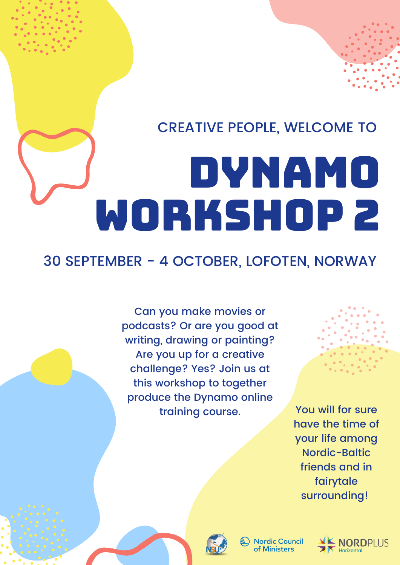## CREATIVE PEOPLE, WELCOME TO

# DYNAMO WORKSHOP 2

## 30 SEPTEMBER - 4 OCTOBER, LOFOTEN, NORWAY

Can you make movies or podcasts? Or are you good at writing, drawing or painting? Are you up for a creative challenge? Yes? Join us at this workshop to together produce the Dynamo online training course.

You will for sure have the time of your life among Nordic-Baltic friends and in fairytale surrounding!



**Nordic Council** of Ministers